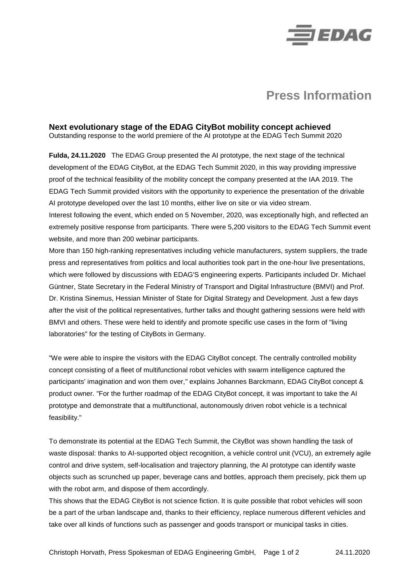

## **Press Information**

## **Next evolutionary stage of the EDAG CityBot mobility concept achieved**

Outstanding response to the world premiere of the AI prototype at the EDAG Tech Summit 2020

**Fulda, 24.11.2020** The EDAG Group presented the AI prototype, the next stage of the technical development of the EDAG CityBot, at the EDAG Tech Summit 2020, in this way providing impressive proof of the technical feasibility of the mobility concept the company presented at the IAA 2019. The EDAG Tech Summit provided visitors with the opportunity to experience the presentation of the drivable AI prototype developed over the last 10 months, either live on site or via video stream.

Interest following the event, which ended on 5 November, 2020, was exceptionally high, and reflected an extremely positive response from participants. There were 5,200 visitors to the EDAG Tech Summit event website, and more than 200 webinar participants.

More than 150 high-ranking representatives including vehicle manufacturers, system suppliers, the trade press and representatives from politics and local authorities took part in the one-hour live presentations, which were followed by discussions with EDAG'S engineering experts. Participants included Dr. Michael Güntner, State Secretary in the Federal Ministry of Transport and Digital Infrastructure (BMVI) and Prof. Dr. Kristina Sinemus, Hessian Minister of State for Digital Strategy and Development. Just a few days after the visit of the political representatives, further talks and thought gathering sessions were held with BMVI and others. These were held to identify and promote specific use cases in the form of "living laboratories" for the testing of CityBots in Germany.

"We were able to inspire the visitors with the EDAG CityBot concept. The centrally controlled mobility concept consisting of a fleet of multifunctional robot vehicles with swarm intelligence captured the participants' imagination and won them over," explains Johannes Barckmann, EDAG CityBot concept & product owner. "For the further roadmap of the EDAG CityBot concept, it was important to take the AI prototype and demonstrate that a multifunctional, autonomously driven robot vehicle is a technical feasibility."

To demonstrate its potential at the EDAG Tech Summit, the CityBot was shown handling the task of waste disposal: thanks to AI-supported object recognition, a vehicle control unit (VCU), an extremely agile control and drive system, self-localisation and trajectory planning, the AI prototype can identify waste objects such as scrunched up paper, beverage cans and bottles, approach them precisely, pick them up with the robot arm, and dispose of them accordingly.

This shows that the EDAG CityBot is not science fiction. It is quite possible that robot vehicles will soon be a part of the urban landscape and, thanks to their efficiency, replace numerous different vehicles and take over all kinds of functions such as passenger and goods transport or municipal tasks in cities.